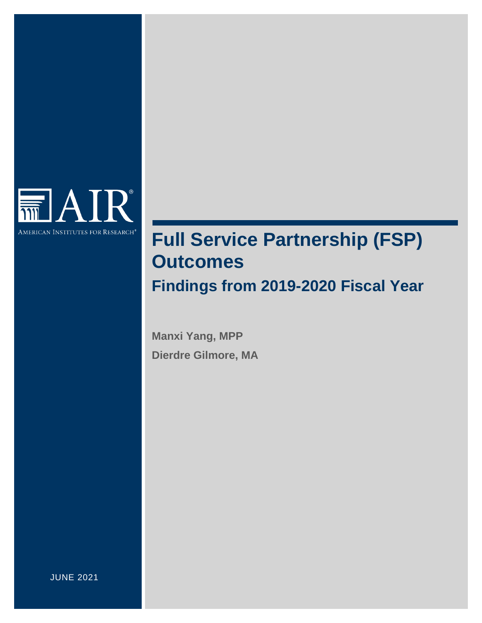

# <span id="page-0-0"></span>**Full Service Partnership (FSP) Outcomes Findings from 2019-2020 Fiscal Year**

**Manxi Yang, MPP Dierdre Gilmore, MA**

JUNE 2021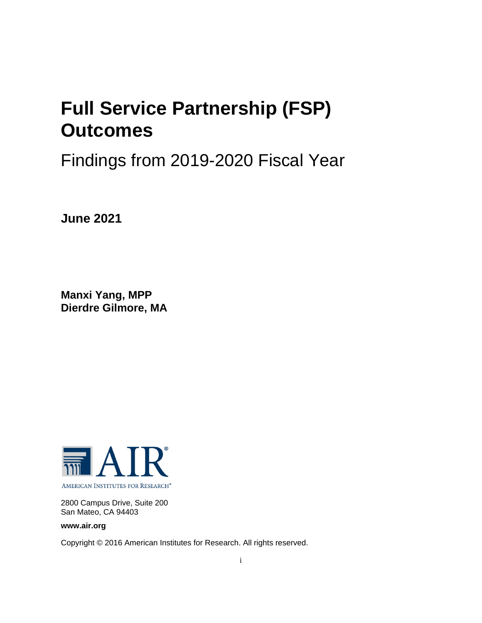# **Full Service Partnership (FSP) Outcomes**

# Findings from 2019-2020 Fiscal Year

**June 2021**

**Manxi Yang, MPP Dierdre Gilmore, MA**



2800 Campus Drive, Suite 200 San Mateo, CA 94403

**www.air.org**

Copyright © 2016 American Institutes for Research. All rights reserved.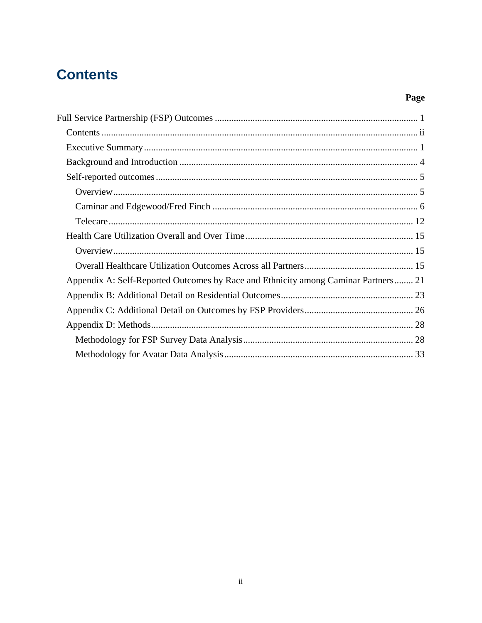## <span id="page-2-0"></span>**Contents**

## Page

| Appendix A: Self-Reported Outcomes by Race and Ethnicity among Caminar Partners 21 |
|------------------------------------------------------------------------------------|
|                                                                                    |
|                                                                                    |
|                                                                                    |
|                                                                                    |
|                                                                                    |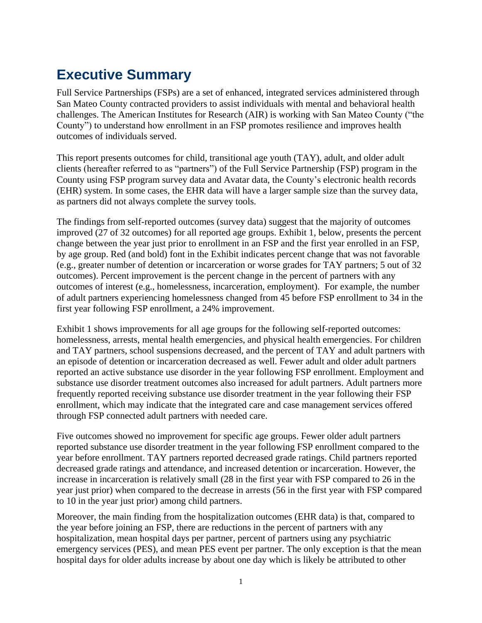## <span id="page-3-0"></span>**Executive Summary**

Full Service Partnerships (FSPs) are a set of enhanced, integrated services administered through San Mateo County contracted providers to assist individuals with mental and behavioral health challenges. The American Institutes for Research (AIR) is working with San Mateo County ("the County") to understand how enrollment in an FSP promotes resilience and improves health outcomes of individuals served.

This report presents outcomes for child, transitional age youth (TAY), adult, and older adult clients (hereafter referred to as "partners") of the Full Service Partnership (FSP) program in the County using FSP program survey data and Avatar data, the County's electronic health records (EHR) system. In some cases, the EHR data will have a larger sample size than the survey data, as partners did not always complete the survey tools.

The findings from self-reported outcomes (survey data) suggest that the majority of outcomes improved (27 of 32 outcomes) for all reported age groups. Exhibit 1, below, presents the percent change between the year just prior to enrollment in an FSP and the first year enrolled in an FSP, by age group. Red (and bold) font in the Exhibit indicates percent change that was not favorable (e.g., greater number of detention or incarceration or worse grades for TAY partners; 5 out of 32 outcomes). Percent improvement is the percent change in the percent of partners with any outcomes of interest (e.g., homelessness, incarceration, employment). For example, the number of adult partners experiencing homelessness changed from 45 before FSP enrollment to 34 in the first year following FSP enrollment, a 24% improvement.

Exhibit 1 shows improvements for all age groups for the following self-reported outcomes: homelessness, arrests, mental health emergencies, and physical health emergencies. For children and TAY partners, school suspensions decreased, and the percent of TAY and adult partners with an episode of detention or incarceration decreased as well. Fewer adult and older adult partners reported an active substance use disorder in the year following FSP enrollment. Employment and substance use disorder treatment outcomes also increased for adult partners. Adult partners more frequently reported receiving substance use disorder treatment in the year following their FSP enrollment, which may indicate that the integrated care and case management services offered through FSP connected adult partners with needed care.

Five outcomes showed no improvement for specific age groups. Fewer older adult partners reported substance use disorder treatment in the year following FSP enrollment compared to the year before enrollment. TAY partners reported decreased grade ratings. Child partners reported decreased grade ratings and attendance, and increased detention or incarceration. However, the increase in incarceration is relatively small (28 in the first year with FSP compared to 26 in the year just prior) when compared to the decrease in arrests (56 in the first year with FSP compared to 10 in the year just prior) among child partners.

Moreover, the main finding from the hospitalization outcomes (EHR data) is that, compared to the year before joining an FSP, there are reductions in the percent of partners with any hospitalization, mean hospital days per partner, percent of partners using any psychiatric emergency services (PES), and mean PES event per partner. The only exception is that the mean hospital days for older adults increase by about one day which is likely be attributed to other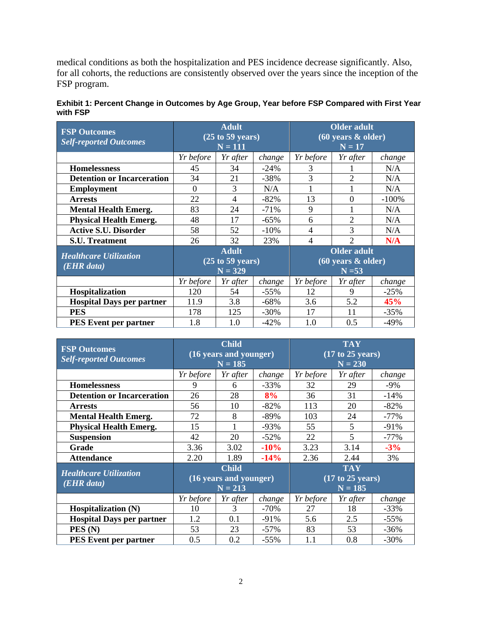medical conditions as both the hospitalization and PES incidence decrease significantly. Also, for all cohorts, the reductions are consistently observed over the years since the inception of the FSP program.

| <b>FSP Outcomes</b><br><b>Self-reported Outcomes</b> | <b>Adult</b><br>$(25 \text{ to } 59 \text{ years})$<br>$N = 111$ |          | <b>Older adult</b><br>$(60 \text{ years } \& \text{ older})$<br>$N = 17$ |                          |                |         |
|------------------------------------------------------|------------------------------------------------------------------|----------|--------------------------------------------------------------------------|--------------------------|----------------|---------|
|                                                      | Yr before                                                        | Yr after | change                                                                   | Yr before                | Yr after       | change  |
| <b>Homelessness</b>                                  | 45                                                               | 34       | $-24%$                                                                   | 3                        |                | N/A     |
| <b>Detention or Incarceration</b>                    | 34                                                               | 21       | $-38%$                                                                   | 3                        | $\overline{2}$ | N/A     |
| <b>Employment</b>                                    | $\theta$                                                         | 3        | N/A                                                                      |                          |                | N/A     |
| <b>Arrests</b>                                       | 22                                                               | 4        | $-82%$                                                                   | 13                       | $\Omega$       | $-100%$ |
| <b>Mental Health Emerg.</b>                          | 83                                                               | 24       | $-71%$                                                                   | 9                        |                | N/A     |
| <b>Physical Health Emerg.</b>                        | 48                                                               | 17       | $-65\%$                                                                  | 6                        | $\overline{2}$ | N/A     |
| <b>Active S.U. Disorder</b>                          | 58                                                               | 52       | $-10\%$                                                                  | 4                        | 3              | N/A     |
| <b>S.U. Treatment</b>                                | 26                                                               | 32       | 23%                                                                      | $\overline{\mathcal{A}}$ | $\mathfrak{D}$ | N/A     |
| <b>Healthcare Utilization</b><br>$(EHR \, data)$     | <b>Adult</b><br>$(25 \text{ to } 59 \text{ years})$<br>$N = 329$ |          | <b>Older adult</b><br>$(60 \text{ years } \& \text{ older})$<br>$N = 53$ |                          |                |         |
|                                                      | Yr before                                                        | Yr after | change                                                                   | <i>Yr before</i>         | Yr after       | change  |
| Hospitalization                                      | 120                                                              | 54       | $-55\%$                                                                  | 12                       | 9              | $-25%$  |
| <b>Hospital Days per partner</b>                     | 11.9                                                             | 3.8      | $-68%$                                                                   | 3.6                      | 5.2            | 45%     |
| <b>PES</b>                                           | 178                                                              | 125      | $-30\%$                                                                  | 17                       | 11             | $-35%$  |
| <b>PES Event per partner</b>                         | 1.8                                                              | 1.0      | $-42%$                                                                   | 1.0                      | 0.5            | $-49%$  |

| Exhibit 1: Percent Change in Outcomes by Age Group, Year before FSP Compared with First Year |  |  |
|----------------------------------------------------------------------------------------------|--|--|
| with FSP                                                                                     |  |  |

| <b>FSP Outcomes</b>               | <b>Child</b>           |                        |         | <b>TAY</b>       |          |         |
|-----------------------------------|------------------------|------------------------|---------|------------------|----------|---------|
| <b>Self-reported Outcomes</b>     | (16 years and younger) |                        |         | (17 to 25 years) |          |         |
|                                   |                        | $N = 185$              |         | $N = 230$        |          |         |
|                                   | Yr before              | Yr after               | change  | Yr before        | Yr after | change  |
| <b>Homelessness</b>               | $\mathbf Q$            | 6                      | $-33%$  | 32               | 29       | $-9\%$  |
| <b>Detention or Incarceration</b> | 26                     | 28                     | 8%      | 36               | 31       | $-14%$  |
| <b>Arrests</b>                    | 56                     | 10                     | $-82%$  | 113              | 20       | $-82\%$ |
| <b>Mental Health Emerg.</b>       | 72                     | 8                      | -89%    | 103              | 24       | $-77\%$ |
| <b>Physical Health Emerg.</b>     | 15                     |                        | $-93%$  | 55               | 5        | $-91%$  |
| <b>Suspension</b>                 | 42                     | 20                     | $-52%$  | 22               | 5        | $-77%$  |
| Grade                             | 3.36                   | 3.02                   | $-10%$  | 3.23             | 3.14     | $-3%$   |
| <b>Attendance</b>                 | 2.20                   | 1.89                   | $-14%$  | 2.36             | 2.44     | 3%      |
| <b>Healthcare Utilization</b>     |                        | <b>Child</b>           |         | <b>TAY</b>       |          |         |
| (EHR data)                        |                        | (16 years and younger) |         | (17 to 25 years) |          |         |
|                                   |                        | $N = 213$              |         | $N = 185$        |          |         |
|                                   | Yr before              | Yr after               | change  | Yr before        | Yr after | change  |
| <b>Hospitalization (N)</b>        | 10                     | 3                      | $-70%$  | 27               | 18       | $-33%$  |
| <b>Hospital Days per partner</b>  | 1.2                    | 0.1                    | $-91\%$ | 5.6              | 2.5      | $-55%$  |
| PES(N)                            | 53                     | 23                     | $-57%$  | 83               | 53       | $-36%$  |
| <b>PES Event per partner</b>      | 0.5                    | 0.2                    | $-55%$  | 1.1              | 0.8      | $-30%$  |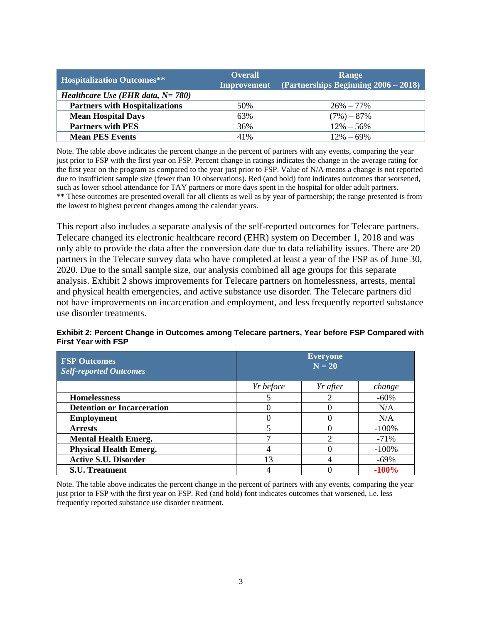| <b>Hospitalization Outcomes**</b>        | <b>Overall</b><br><b>Improvement</b> | Range<br>$\sqrt{\text{(Partnerships Beginning 2006 - 2018)}}$ |
|------------------------------------------|--------------------------------------|---------------------------------------------------------------|
| <i>Healthcare Use (EHR data, N= 780)</i> |                                      |                                                               |
| <b>Partners with Hospitalizations</b>    | 50%                                  | $26\% - 77\%$                                                 |
| <b>Mean Hospital Days</b>                | 63%                                  | $(7\%) - 87\%$                                                |
| <b>Partners with PES</b>                 | 36%                                  | $12\% - 56\%$                                                 |
| <b>Mean PES Events</b>                   | 41%                                  | $12\% - 69\%$                                                 |

Note. The table above indicates the percent change in the percent of partners with any events, comparing the year just prior to FSP with the first year on FSP. Percent change in ratings indicates the change in the average rating for the first year on the program as compared to the year just prior to FSP. Value of N/A means a change is not reported due to insufficient sample size (fewer than 10 observations). Red (and bold) font indicates outcomes that worsened, such as lower school attendance for TAY partners or more days spent in the hospital for older adult partners. \*\* These outcomes are presented overall for all clients as well as by year of partnership; the range presented is from the lowest to highest percent changes among the calendar years.

This report also includes a separate analysis of the self-reported outcomes for Telecare partners. Telecare changed its electronic healthcare record (EHR) system on December 1, 2018 and was only able to provide the data after the conversion date due to data reliability issues. There are 20 partners in the Telecare survey data who have completed at least a year of the FSP as of June 30, 2020. Due to the small sample size, our analysis combined all age groups for this separate analysis. Exhibit 2 shows improvements for Telecare partners on homelessness, arrests, mental and physical health emergencies, and active substance use disorder. The Telecare partners did not have improvements on incarceration and employment, and less frequently reported substance use disorder treatments.

#### **Exhibit 2: Percent Change in Outcomes among Telecare partners, Year before FSP Compared with First Year with FSP**

| <b>FSP Outcomes</b><br><b>Self-reported Outcomes</b> |           | <b>Everyone</b><br>$N = 20$ |          |  |  |  |
|------------------------------------------------------|-----------|-----------------------------|----------|--|--|--|
|                                                      | Yr before | Yr after                    | change   |  |  |  |
| <b>Homelessness</b>                                  |           |                             | $-60%$   |  |  |  |
| <b>Detention or Incarceration</b>                    | 0         |                             | N/A      |  |  |  |
| <b>Employment</b>                                    |           |                             | N/A      |  |  |  |
| <b>Arrests</b>                                       |           |                             | $-100\%$ |  |  |  |
| <b>Mental Health Emerg.</b>                          | ⇁         | ◠                           | $-71%$   |  |  |  |
| <b>Physical Health Emerg.</b>                        |           |                             | $-100\%$ |  |  |  |
| <b>Active S.U. Disorder</b>                          | 13        |                             | $-69\%$  |  |  |  |
| <b>S.U. Treatment</b>                                |           |                             | $-100%$  |  |  |  |

Note. The table above indicates the percent change in the percent of partners with any events, comparing the year just prior to FSP with the first year on FSP. Red (and bold) font indicates outcomes that worsened, i.e. less frequently reported substance use disorder treatment.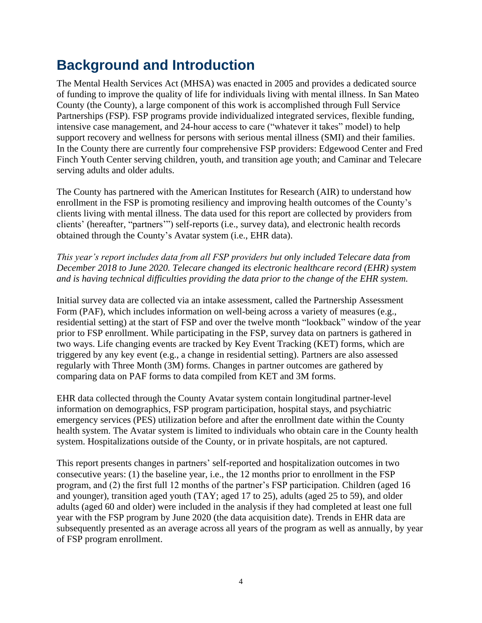## <span id="page-6-0"></span>**Background and Introduction**

The Mental Health Services Act (MHSA) was enacted in 2005 and provides a dedicated source of funding to improve the quality of life for individuals living with mental illness. In San Mateo County (the County), a large component of this work is accomplished through Full Service Partnerships (FSP). FSP programs provide individualized integrated services, flexible funding, intensive case management, and 24-hour access to care ("whatever it takes" model) to help support recovery and wellness for persons with serious mental illness (SMI) and their families. In the County there are currently four comprehensive FSP providers: Edgewood Center and Fred Finch Youth Center serving children, youth, and transition age youth; and Caminar and Telecare serving adults and older adults.

The County has partnered with the American Institutes for Research (AIR) to understand how enrollment in the FSP is promoting resiliency and improving health outcomes of the County's clients living with mental illness. The data used for this report are collected by providers from clients' (hereafter, "partners'") self-reports (i.e., survey data), and electronic health records obtained through the County's Avatar system (i.e., EHR data).

*This year's report includes data from all FSP providers but only included Telecare data from December 2018 to June 2020. Telecare changed its electronic healthcare record (EHR) system and is having technical difficulties providing the data prior to the change of the EHR system.*

Initial survey data are collected via an intake assessment, called the Partnership Assessment Form (PAF), which includes information on well-being across a variety of measures (e.g., residential setting) at the start of FSP and over the twelve month "lookback" window of the year prior to FSP enrollment. While participating in the FSP, survey data on partners is gathered in two ways. Life changing events are tracked by Key Event Tracking (KET) forms, which are triggered by any key event (e.g., a change in residential setting). Partners are also assessed regularly with Three Month (3M) forms. Changes in partner outcomes are gathered by comparing data on PAF forms to data compiled from KET and 3M forms.

EHR data collected through the County Avatar system contain longitudinal partner-level information on demographics, FSP program participation, hospital stays, and psychiatric emergency services (PES) utilization before and after the enrollment date within the County health system. The Avatar system is limited to individuals who obtain care in the County health system. Hospitalizations outside of the County, or in private hospitals, are not captured.

This report presents changes in partners' self-reported and hospitalization outcomes in two consecutive years: (1) the baseline year, i.e., the 12 months prior to enrollment in the FSP program, and (2) the first full 12 months of the partner's FSP participation. Children (aged 16 and younger), transition aged youth (TAY; aged 17 to 25), adults (aged 25 to 59), and older adults (aged 60 and older) were included in the analysis if they had completed at least one full year with the FSP program by June 2020 (the data acquisition date). Trends in EHR data are subsequently presented as an average across all years of the program as well as annually, by year of FSP program enrollment.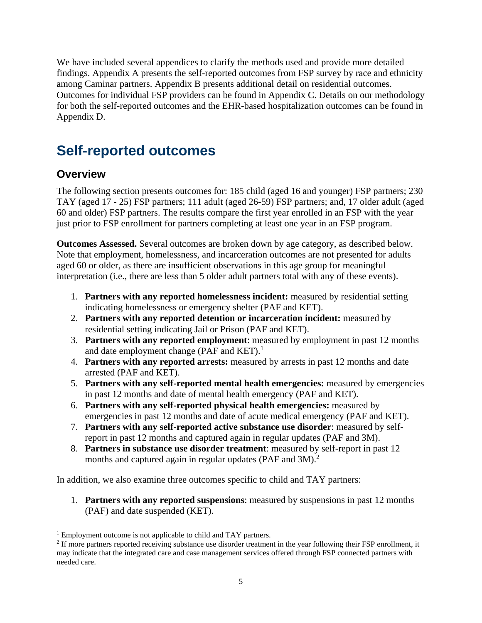We have included several appendices to clarify the methods used and provide more detailed findings. Appendix A presents the self-reported outcomes from FSP survey by race and ethnicity among Caminar partners. Appendix B presents additional detail on residential outcomes. Outcomes for individual FSP providers can be found in Appendix C. Details on our methodology for both the self-reported outcomes and the EHR-based hospitalization outcomes can be found in Appendix D.

## <span id="page-7-0"></span>**Self-reported outcomes**

## <span id="page-7-1"></span>**Overview**

 $\overline{a}$ 

The following section presents outcomes for: 185 child (aged 16 and younger) FSP partners; 230 TAY (aged 17 - 25) FSP partners; 111 adult (aged 26-59) FSP partners; and, 17 older adult (aged 60 and older) FSP partners. The results compare the first year enrolled in an FSP with the year just prior to FSP enrollment for partners completing at least one year in an FSP program.

**Outcomes Assessed.** Several outcomes are broken down by age category, as described below. Note that employment, homelessness, and incarceration outcomes are not presented for adults aged 60 or older, as there are insufficient observations in this age group for meaningful interpretation (i.e., there are less than 5 older adult partners total with any of these events).

- 1. **Partners with any reported homelessness incident:** measured by residential setting indicating homelessness or emergency shelter (PAF and KET).
- 2. **Partners with any reported detention or incarceration incident:** measured by residential setting indicating Jail or Prison (PAF and KET).
- 3. **Partners with any reported employment**: measured by employment in past 12 months and date employment change (PAF and KET).<sup>1</sup>
- 4. **Partners with any reported arrests:** measured by arrests in past 12 months and date arrested (PAF and KET).
- 5. **Partners with any self-reported mental health emergencies:** measured by emergencies in past 12 months and date of mental health emergency (PAF and KET).
- 6. **Partners with any self-reported physical health emergencies:** measured by emergencies in past 12 months and date of acute medical emergency (PAF and KET).
- 7. **Partners with any self-reported active substance use disorder**: measured by selfreport in past 12 months and captured again in regular updates (PAF and 3M).
- 8. **Partners in substance use disorder treatment**: measured by self-report in past 12 months and captured again in regular updates (PAF and 3M).<sup>2</sup>

In addition, we also examine three outcomes specific to child and TAY partners:

1. **Partners with any reported suspensions**: measured by suspensions in past 12 months (PAF) and date suspended (KET).

<sup>&</sup>lt;sup>1</sup> Employment outcome is not applicable to child and TAY partners.

 $2<sup>2</sup>$  If more partners reported receiving substance use disorder treatment in the year following their FSP enrollment, it may indicate that the integrated care and case management services offered through FSP connected partners with needed care.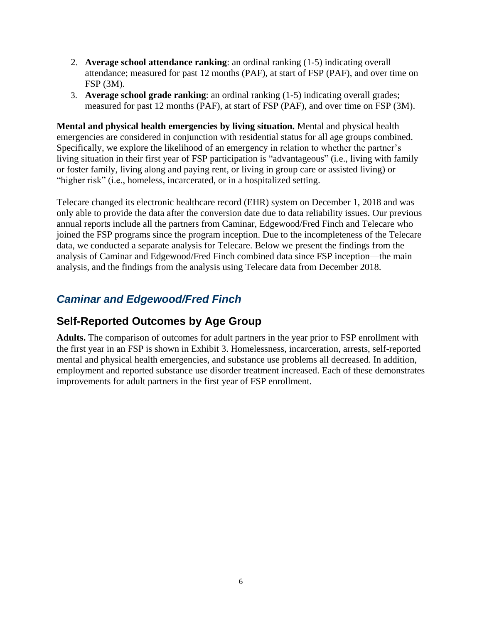- 2. **Average school attendance ranking**: an ordinal ranking (1-5) indicating overall attendance; measured for past 12 months (PAF), at start of FSP (PAF), and over time on FSP (3M).
- 3. **Average school grade ranking**: an ordinal ranking (1-5) indicating overall grades; measured for past 12 months (PAF), at start of FSP (PAF), and over time on FSP (3M).

**Mental and physical health emergencies by living situation.** Mental and physical health emergencies are considered in conjunction with residential status for all age groups combined. Specifically, we explore the likelihood of an emergency in relation to whether the partner's living situation in their first year of FSP participation is "advantageous" (i.e., living with family or foster family, living along and paying rent, or living in group care or assisted living) or "higher risk" (i.e., homeless, incarcerated, or in a hospitalized setting.

Telecare changed its electronic healthcare record (EHR) system on December 1, 2018 and was only able to provide the data after the conversion date due to data reliability issues. Our previous annual reports include all the partners from Caminar, Edgewood/Fred Finch and Telecare who joined the FSP programs since the program inception. Due to the incompleteness of the Telecare data, we conducted a separate analysis for Telecare. Below we present the findings from the analysis of Caminar and Edgewood/Fred Finch combined data since FSP inception—the main analysis, and the findings from the analysis using Telecare data from December 2018.

## <span id="page-8-0"></span>*Caminar and Edgewood/Fred Finch*

## **Self-Reported Outcomes by Age Group**

**Adults.** The comparison of outcomes for adult partners in the year prior to FSP enrollment with the first year in an FSP is shown in Exhibit 3. Homelessness, incarceration, arrests, self-reported mental and physical health emergencies, and substance use problems all decreased. In addition, employment and reported substance use disorder treatment increased. Each of these demonstrates improvements for adult partners in the first year of FSP enrollment.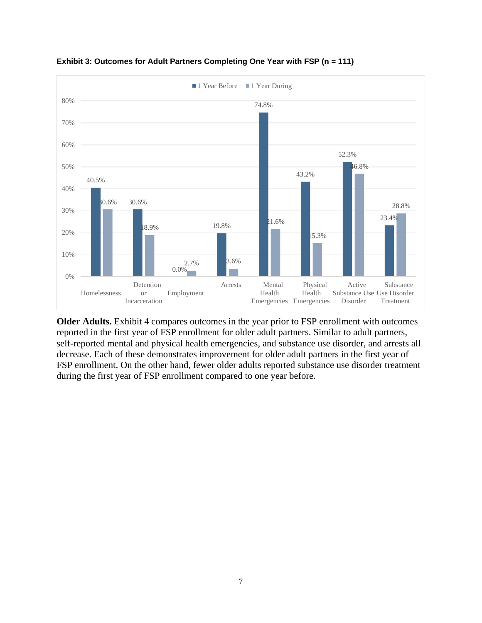

**Exhibit 3: Outcomes for Adult Partners Completing One Year with FSP (n = 111)**

**Older Adults.** Exhibit 4 compares outcomes in the year prior to FSP enrollment with outcomes reported in the first year of FSP enrollment for older adult partners. Similar to adult partners, self-reported mental and physical health emergencies, and substance use disorder, and arrests all decrease. Each of these demonstrates improvement for older adult partners in the first year of FSP enrollment. On the other hand, fewer older adults reported substance use disorder treatment during the first year of FSP enrollment compared to one year before.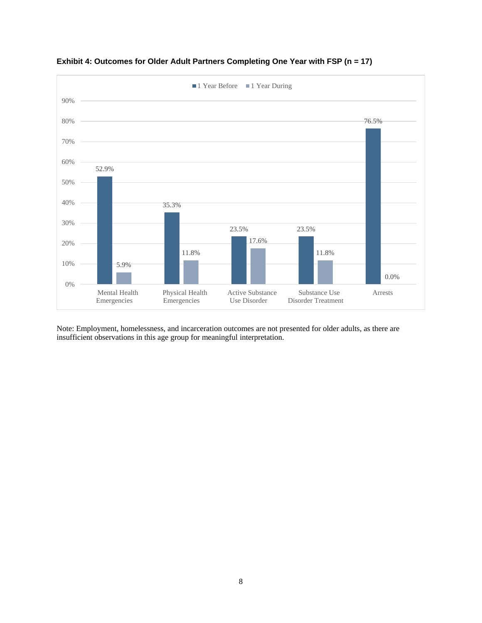



Note: Employment, homelessness, and incarceration outcomes are not presented for older adults, as there are insufficient observations in this age group for meaningful interpretation.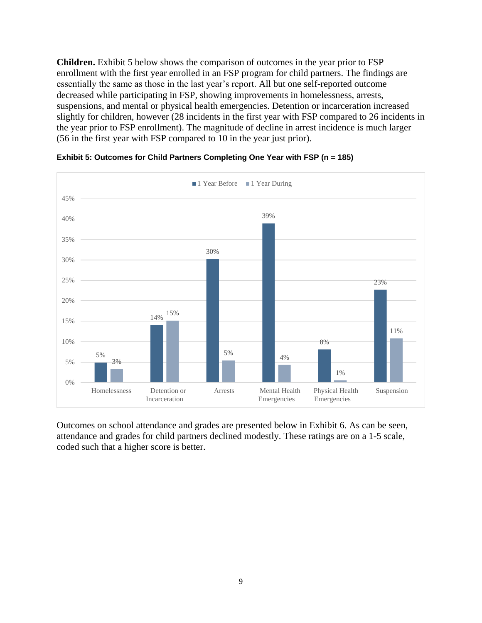**Children.** Exhibit 5 below shows the comparison of outcomes in the year prior to FSP enrollment with the first year enrolled in an FSP program for child partners. The findings are essentially the same as those in the last year's report. All but one self-reported outcome decreased while participating in FSP, showing improvements in homelessness, arrests, suspensions, and mental or physical health emergencies. Detention or incarceration increased slightly for children, however (28 incidents in the first year with FSP compared to 26 incidents in the year prior to FSP enrollment). The magnitude of decline in arrest incidence is much larger (56 in the first year with FSP compared to 10 in the year just prior).



**Exhibit 5: Outcomes for Child Partners Completing One Year with FSP (n = 185)**

Outcomes on school attendance and grades are presented below in Exhibit 6. As can be seen, attendance and grades for child partners declined modestly. These ratings are on a 1-5 scale, coded such that a higher score is better.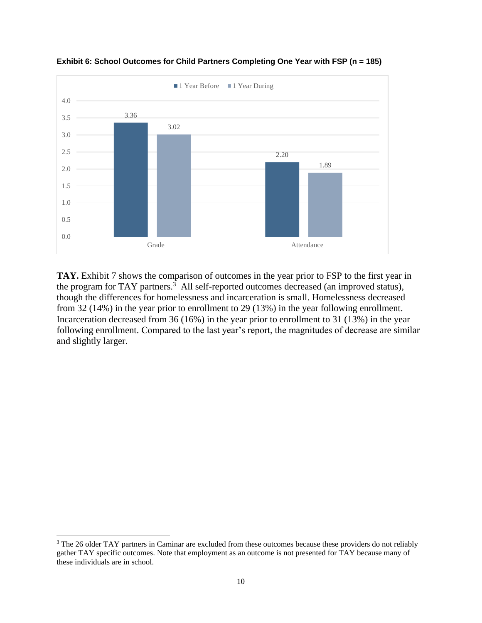

**Exhibit 6: School Outcomes for Child Partners Completing One Year with FSP (n = 185)**

**TAY.** Exhibit 7 shows the comparison of outcomes in the year prior to FSP to the first year in the program for TAY partners.<sup>3</sup> All self-reported outcomes decreased (an improved status), though the differences for homelessness and incarceration is small. Homelessness decreased from 32 (14%) in the year prior to enrollment to 29 (13%) in the year following enrollment. Incarceration decreased from 36 (16%) in the year prior to enrollment to 31 (13%) in the year following enrollment. Compared to the last year's report, the magnitudes of decrease are similar and slightly larger.

 $\overline{a}$ 

<sup>&</sup>lt;sup>3</sup> The 26 older TAY partners in Caminar are excluded from these outcomes because these providers do not reliably gather TAY specific outcomes. Note that employment as an outcome is not presented for TAY because many of these individuals are in school.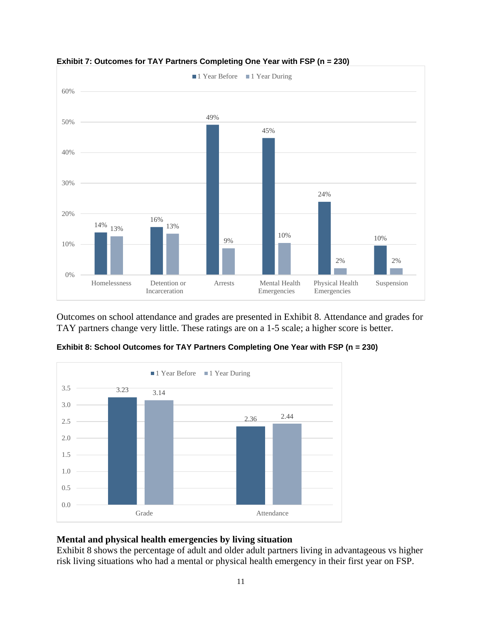



Outcomes on school attendance and grades are presented in Exhibit 8. Attendance and grades for TAY partners change very little. These ratings are on a 1-5 scale; a higher score is better.



**Exhibit 8: School Outcomes for TAY Partners Completing One Year with FSP (n = 230)**

#### **Mental and physical health emergencies by living situation**

Exhibit 8 shows the percentage of adult and older adult partners living in advantageous vs higher risk living situations who had a mental or physical health emergency in their first year on FSP.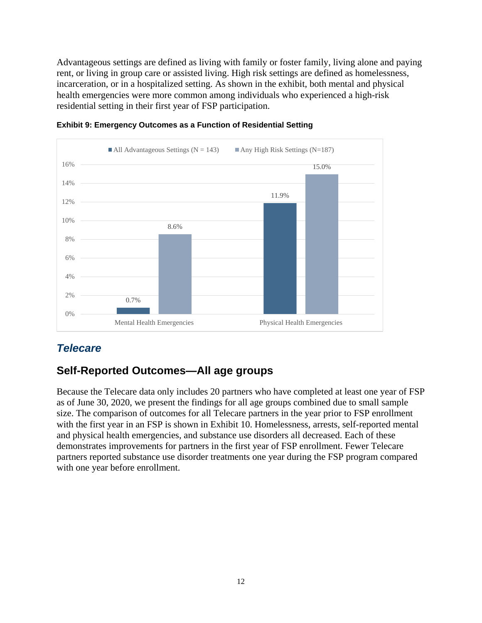Advantageous settings are defined as living with family or foster family, living alone and paying rent, or living in group care or assisted living. High risk settings are defined as homelessness, incarceration, or in a hospitalized setting. As shown in the exhibit, both mental and physical health emergencies were more common among individuals who experienced a high-risk residential setting in their first year of FSP participation.





## <span id="page-14-0"></span>*Telecare*

## **Self-Reported Outcomes—All age groups**

Because the Telecare data only includes 20 partners who have completed at least one year of FSP as of June 30, 2020, we present the findings for all age groups combined due to small sample size. The comparison of outcomes for all Telecare partners in the year prior to FSP enrollment with the first year in an FSP is shown in Exhibit 10. Homelessness, arrests, self-reported mental and physical health emergencies, and substance use disorders all decreased. Each of these demonstrates improvements for partners in the first year of FSP enrollment. Fewer Telecare partners reported substance use disorder treatments one year during the FSP program compared with one year before enrollment.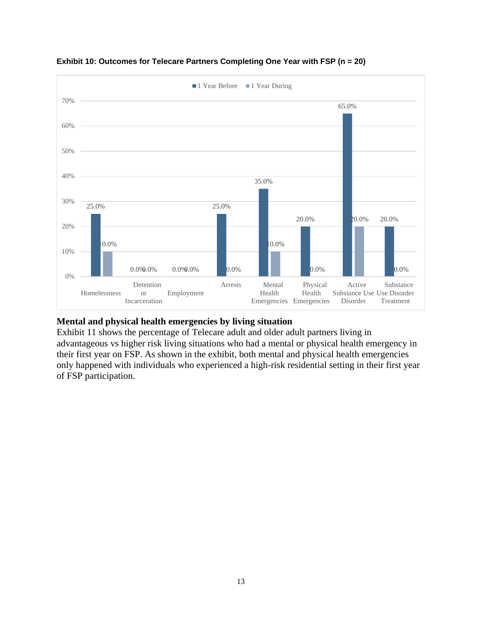

#### **Exhibit 10: Outcomes for Telecare Partners Completing One Year with FSP (n = 20)**

#### **Mental and physical health emergencies by living situation**

Exhibit 11 shows the percentage of Telecare adult and older adult partners living in advantageous vs higher risk living situations who had a mental or physical health emergency in their first year on FSP. As shown in the exhibit, both mental and physical health emergencies only happened with individuals who experienced a high-risk residential setting in their first year of FSP participation.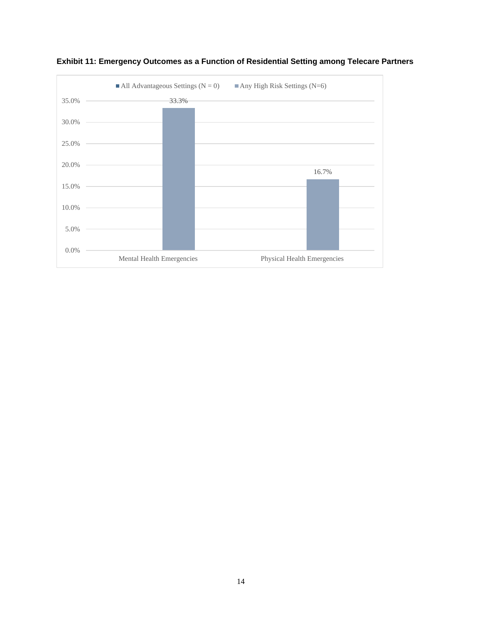

**Exhibit 11: Emergency Outcomes as a Function of Residential Setting among Telecare Partners**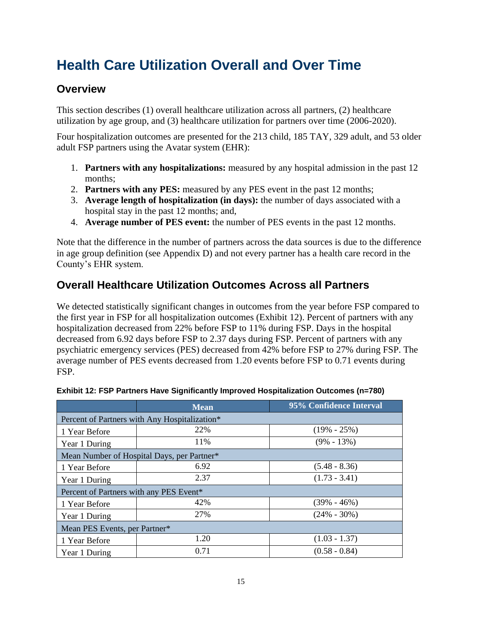## <span id="page-17-0"></span>**Health Care Utilization Overall and Over Time**

### <span id="page-17-1"></span>**Overview**

This section describes (1) overall healthcare utilization across all partners, (2) healthcare utilization by age group, and (3) healthcare utilization for partners over time (2006-2020).

Four hospitalization outcomes are presented for the 213 child, 185 TAY, 329 adult, and 53 older adult FSP partners using the Avatar system (EHR):

- 1. **Partners with any hospitalizations:** measured by any hospital admission in the past 12 months;
- 2. **Partners with any PES:** measured by any PES event in the past 12 months;
- 3. **Average length of hospitalization (in days):** the number of days associated with a hospital stay in the past 12 months; and,
- 4. **Average number of PES event:** the number of PES events in the past 12 months.

Note that the difference in the number of partners across the data sources is due to the difference in age group definition (see Appendix D) and not every partner has a health care record in the County's EHR system.

## <span id="page-17-2"></span>**Overall Healthcare Utilization Outcomes Across all Partners**

We detected statistically significant changes in outcomes from the year before FSP compared to the first year in FSP for all hospitalization outcomes (Exhibit 12). Percent of partners with any hospitalization decreased from 22% before FSP to 11% during FSP. Days in the hospital decreased from 6.92 days before FSP to 2.37 days during FSP. Percent of partners with any psychiatric emergency services (PES) decreased from 42% before FSP to 27% during FSP. The average number of PES events decreased from 1.20 events before FSP to 0.71 events during FSP.

|                                               | <b>Mean</b> | 95% Confidence Interval |  |  |  |  |  |
|-----------------------------------------------|-------------|-------------------------|--|--|--|--|--|
| Percent of Partners with Any Hospitalization* |             |                         |  |  |  |  |  |
| 1 Year Before                                 | 22%         | $(19\% - 25\%)$         |  |  |  |  |  |
| Year 1 During                                 | 11%         | $(9\% - 13\%)$          |  |  |  |  |  |
| Mean Number of Hospital Days, per Partner*    |             |                         |  |  |  |  |  |
| 1 Year Before                                 | 6.92        | $(5.48 - 8.36)$         |  |  |  |  |  |
| Year 1 During                                 | 2.37        | $(1.73 - 3.41)$         |  |  |  |  |  |
| Percent of Partners with any PES Event*       |             |                         |  |  |  |  |  |
| 1 Year Before                                 | 42%         | $(39\% - 46\%)$         |  |  |  |  |  |
| Year 1 During                                 | 27%         | $(24\% - 30\%)$         |  |  |  |  |  |
| Mean PES Events, per Partner*                 |             |                         |  |  |  |  |  |
| 1 Year Before                                 | 1.20        | $(1.03 - 1.37)$         |  |  |  |  |  |
| Year 1 During                                 | 0.71        | $(0.58 - 0.84)$         |  |  |  |  |  |

| Exhibit 12: FSP Partners Have Significantly Improved Hospitalization Outcomes (n=780) |  |  |
|---------------------------------------------------------------------------------------|--|--|
|---------------------------------------------------------------------------------------|--|--|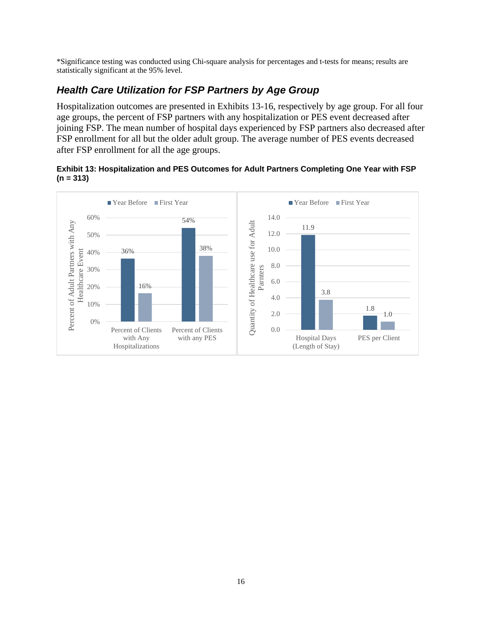\*Significance testing was conducted using Chi-square analysis for percentages and t-tests for means; results are statistically significant at the 95% level.

### *Health Care Utilization for FSP Partners by Age Group*

Hospitalization outcomes are presented in Exhibits 13-16, respectively by age group. For all four age groups, the percent of FSP partners with any hospitalization or PES event decreased after joining FSP. The mean number of hospital days experienced by FSP partners also decreased after FSP enrollment for all but the older adult group. The average number of PES events decreased after FSP enrollment for all the age groups.

#### **Exhibit 13: Hospitalization and PES Outcomes for Adult Partners Completing One Year with FSP (n = 313)**

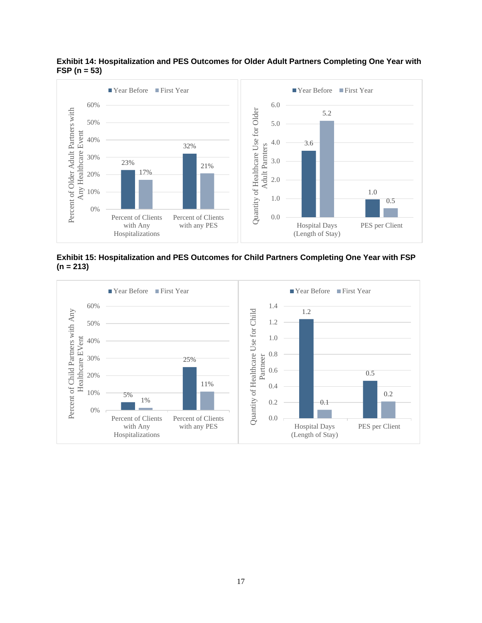

**Exhibit 14: Hospitalization and PES Outcomes for Older Adult Partners Completing One Year with FSP (n = 53)**

**Exhibit 15: Hospitalization and PES Outcomes for Child Partners Completing One Year with FSP (n = 213)**

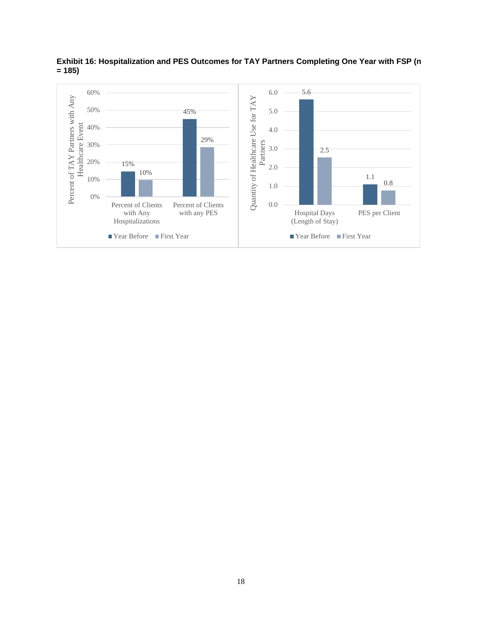

**Exhibit 16: Hospitalization and PES Outcomes for TAY Partners Completing One Year with FSP (n = 185)**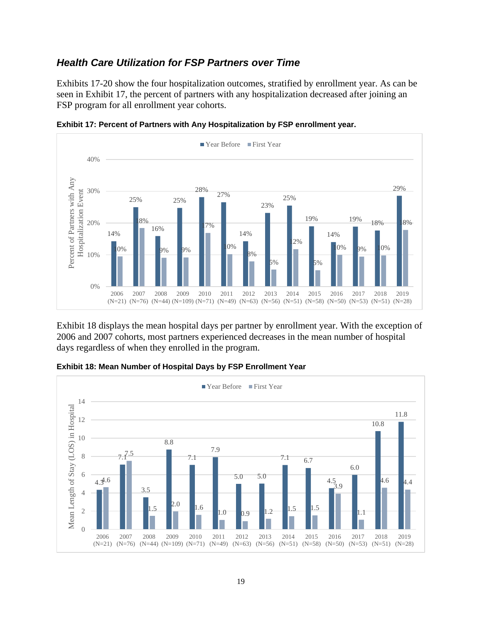### *Health Care Utilization for FSP Partners over Time*

Exhibits 17-20 show the four hospitalization outcomes, stratified by enrollment year. As can be seen in Exhibit 17, the percent of partners with any hospitalization decreased after joining an FSP program for all enrollment year cohorts.





Exhibit 18 displays the mean hospital days per partner by enrollment year. With the exception of 2006 and 2007 cohorts, most partners experienced decreases in the mean number of hospital days regardless of when they enrolled in the program.



**Exhibit 18: Mean Number of Hospital Days by FSP Enrollment Year**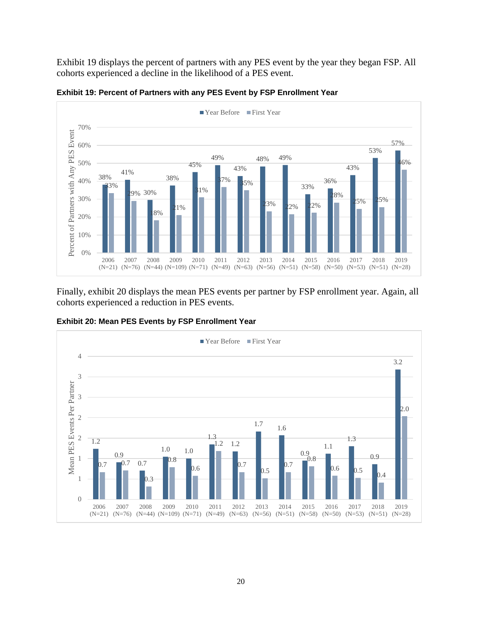Exhibit 19 displays the percent of partners with any PES event by the year they began FSP. All cohorts experienced a decline in the likelihood of a PES event.



**Exhibit 19: Percent of Partners with any PES Event by FSP Enrollment Year**

Finally, exhibit 20 displays the mean PES events per partner by FSP enrollment year. Again, all cohorts experienced a reduction in PES events.

**Exhibit 20: Mean PES Events by FSP Enrollment Year** 

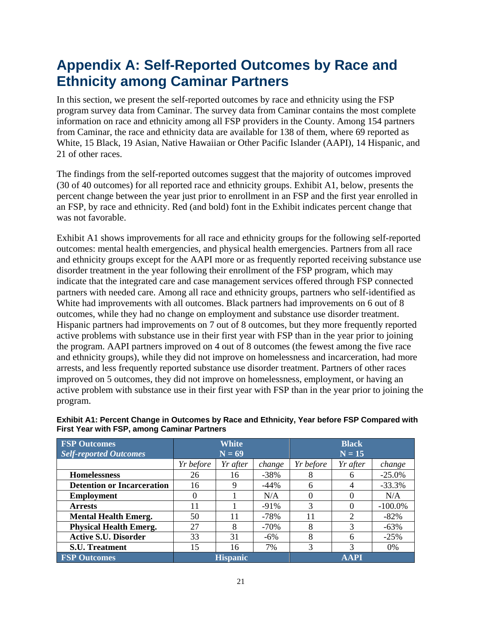## <span id="page-23-0"></span>**Appendix A: Self-Reported Outcomes by Race and Ethnicity among Caminar Partners**

In this section, we present the self-reported outcomes by race and ethnicity using the FSP program survey data from Caminar. The survey data from Caminar contains the most complete information on race and ethnicity among all FSP providers in the County. Among 154 partners from Caminar, the race and ethnicity data are available for 138 of them, where 69 reported as White, 15 Black, 19 Asian, Native Hawaiian or Other Pacific Islander (AAPI), 14 Hispanic, and 21 of other races.

The findings from the self-reported outcomes suggest that the majority of outcomes improved (30 of 40 outcomes) for all reported race and ethnicity groups. Exhibit A1, below, presents the percent change between the year just prior to enrollment in an FSP and the first year enrolled in an FSP, by race and ethnicity. Red (and bold) font in the Exhibit indicates percent change that was not favorable.

Exhibit A1 shows improvements for all race and ethnicity groups for the following self-reported outcomes: mental health emergencies, and physical health emergencies. Partners from all race and ethnicity groups except for the AAPI more or as frequently reported receiving substance use disorder treatment in the year following their enrollment of the FSP program, which may indicate that the integrated care and case management services offered through FSP connected partners with needed care. Among all race and ethnicity groups, partners who self-identified as White had improvements with all outcomes. Black partners had improvements on 6 out of 8 outcomes, while they had no change on employment and substance use disorder treatment. Hispanic partners had improvements on 7 out of 8 outcomes, but they more frequently reported active problems with substance use in their first year with FSP than in the year prior to joining the program. AAPI partners improved on 4 out of 8 outcomes (the fewest among the five race and ethnicity groups), while they did not improve on homelessness and incarceration, had more arrests, and less frequently reported substance use disorder treatment. Partners of other races improved on 5 outcomes, they did not improve on homelessness, employment, or having an active problem with substance use in their first year with FSP than in the year prior to joining the program.

| <b>FSP</b> Outcomes               | <b>White</b>                   |          | <b>Black</b> |           |          |            |
|-----------------------------------|--------------------------------|----------|--------------|-----------|----------|------------|
| <b>Self-reported Outcomes</b>     | $N = 69$                       |          |              | $N = 15$  |          |            |
|                                   | Yr before                      | Yr after | change       | Yr before | Yr after | change     |
| <b>Homelessness</b>               | 26                             | 16       | $-38%$       | 8         | 6        | $-25.0%$   |
| <b>Detention or Incarceration</b> | 16                             | Q        | $-44\%$      | 6         | 4        | $-33.3%$   |
| <b>Employment</b>                 | 0                              |          | N/A          |           |          | N/A        |
| <b>Arrests</b>                    | 11                             |          | $-91\%$      | 3         |          | $-100.0\%$ |
| <b>Mental Health Emerg.</b>       | 50                             | 11       | $-78%$       | 11        | ↑        | $-82\%$    |
| <b>Physical Health Emerg.</b>     | 27                             | 8        | $-70%$       | 8         |          | $-63%$     |
| <b>Active S.U. Disorder</b>       | 33                             | 31       | $-6\%$       | 8         | 6        | $-25%$     |
| <b>S.U. Treatment</b>             | 15                             | 16       | 7%           | 3         | 3        | $0\%$      |
| <b>FSP Outcomes</b>               | <b>AAPI</b><br><b>Hispanic</b> |          |              |           |          |            |

#### **Exhibit A1: Percent Change in Outcomes by Race and Ethnicity, Year before FSP Compared with First Year with FSP, among Caminar Partners**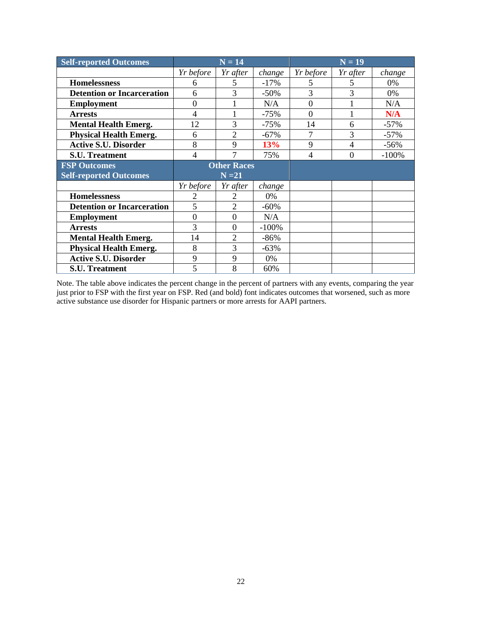| <b>Self-reported Outcomes</b>     |                | $N = 14$                    |         | $N = 19$  |          |         |
|-----------------------------------|----------------|-----------------------------|---------|-----------|----------|---------|
|                                   | Yr before      | Yr after                    | change  | Yr before | Yr after | change  |
| <b>Homelessness</b>               | 6              | 5                           | $-17%$  | 5         |          | $0\%$   |
| <b>Detention or Incarceration</b> | 6              | 3                           | $-50%$  | 3         | 3        | 0%      |
| <b>Employment</b>                 | $\overline{0}$ |                             | N/A     | $\theta$  |          | N/A     |
| <b>Arrests</b>                    | $\overline{4}$ |                             | $-75%$  | $\Omega$  |          | N/A     |
| <b>Mental Health Emerg.</b>       | 12             | 3                           | $-75%$  | 14        | 6        | $-57\%$ |
| <b>Physical Health Emerg.</b>     | 6              | $\overline{2}$              | $-67%$  | 7         | 3        | $-57\%$ |
| <b>Active S.U. Disorder</b>       | 8              | 9                           | 13%     | 9         | 4        | $-56%$  |
| <b>S.U. Treatment</b>             | $\overline{4}$ | 7                           | 75%     | 4         | $\theta$ | $-100%$ |
| <b>FSP Outcomes</b>               |                | <b>Other Races</b>          |         |           |          |         |
| <b>Self-reported Outcomes</b>     |                | $N = 21$                    |         |           |          |         |
|                                   | Yr before      | Yr after                    | change  |           |          |         |
| <b>Homelessness</b>               | 2              | 2                           | 0%      |           |          |         |
| <b>Detention or Incarceration</b> | 5              | $\mathcal{D}_{\mathcal{A}}$ | $-60%$  |           |          |         |
| <b>Employment</b>                 | $\theta$       | $\overline{0}$              | N/A     |           |          |         |
| <b>Arrests</b>                    | 3              | $\theta$                    | $-100%$ |           |          |         |
| <b>Mental Health Emerg.</b>       | 14             | $\overline{2}$              | $-86%$  |           |          |         |
| <b>Physical Health Emerg.</b>     | 8              | 3                           | $-63%$  |           |          |         |
| <b>Active S.U. Disorder</b>       | 9              | 9                           | 0%      |           |          |         |
| <b>S.U. Treatment</b>             | 5              | 8                           | 60%     |           |          |         |

Note. The table above indicates the percent change in the percent of partners with any events, comparing the year just prior to FSP with the first year on FSP. Red (and bold) font indicates outcomes that worsened, such as more active substance use disorder for Hispanic partners or more arrests for AAPI partners.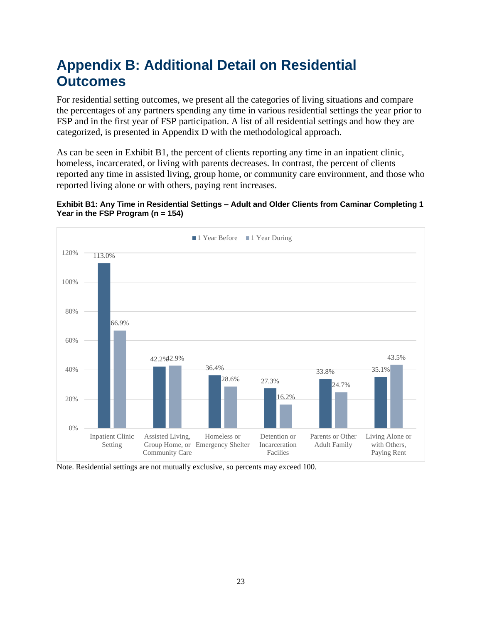## <span id="page-25-0"></span>**Appendix B: Additional Detail on Residential Outcomes**

For residential setting outcomes, we present all the categories of living situations and compare the percentages of any partners spending any time in various residential settings the year prior to FSP and in the first year of FSP participation. A list of all residential settings and how they are categorized, is presented in Appendix D with the methodological approach.

As can be seen in Exhibit B1, the percent of clients reporting any time in an inpatient clinic, homeless, incarcerated, or living with parents decreases. In contrast, the percent of clients reported any time in assisted living, group home, or community care environment, and those who reported living alone or with others, paying rent increases.





Note. Residential settings are not mutually exclusive, so percents may exceed 100.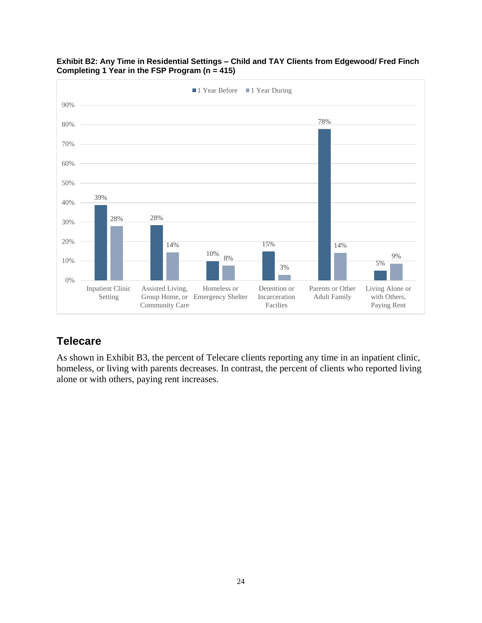



## **Telecare**

As shown in Exhibit B3, the percent of Telecare clients reporting any time in an inpatient clinic, homeless, or living with parents decreases. In contrast, the percent of clients who reported living alone or with others, paying rent increases.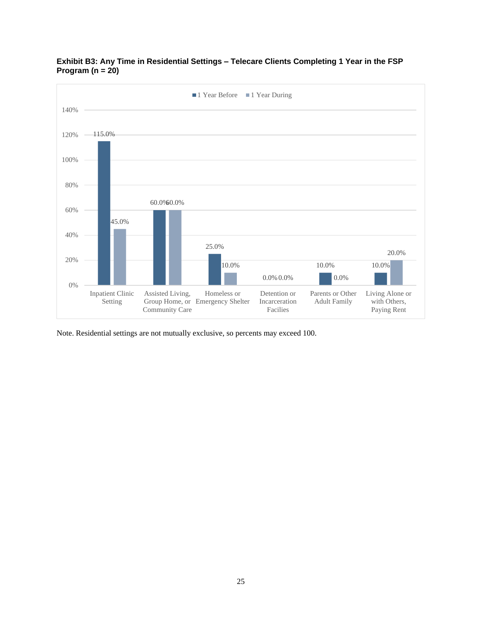



Note. Residential settings are not mutually exclusive, so percents may exceed 100.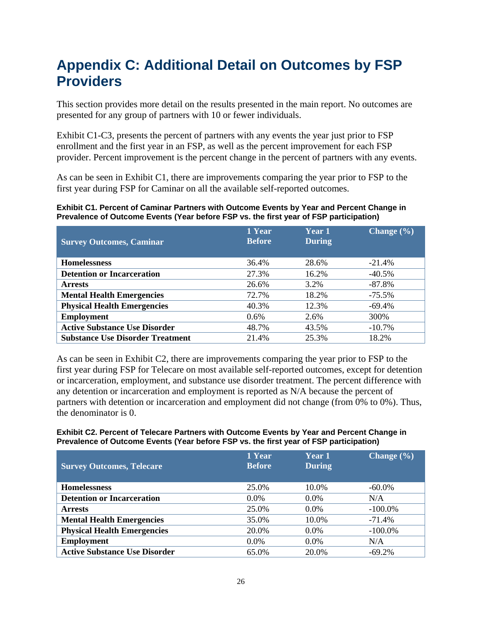## <span id="page-28-0"></span>**Appendix C: Additional Detail on Outcomes by FSP Providers**

This section provides more detail on the results presented in the main report. No outcomes are presented for any group of partners with 10 or fewer individuals.

Exhibit C1-C3, presents the percent of partners with any events the year just prior to FSP enrollment and the first year in an FSP, as well as the percent improvement for each FSP provider. Percent improvement is the percent change in the percent of partners with any events.

As can be seen in Exhibit C1, there are improvements comparing the year prior to FSP to the first year during FSP for Caminar on all the available self-reported outcomes.

**Exhibit C1. Percent of Caminar Partners with Outcome Events by Year and Percent Change in Prevalence of Outcome Events (Year before FSP vs. the first year of FSP participation)**

| <b>Survey Outcomes, Caminar</b>         | 1 Year<br><b>Before</b> | <b>Year 1</b><br><b>During</b> | Change $(\% )$ |
|-----------------------------------------|-------------------------|--------------------------------|----------------|
| <b>Homelessness</b>                     | 36.4%                   | 28.6%                          | $-21.4%$       |
| <b>Detention or Incarceration</b>       | 27.3%                   | 16.2%                          | $-40.5%$       |
| <b>Arrests</b>                          | 26.6%                   | 3.2%                           | $-87.8\%$      |
| <b>Mental Health Emergencies</b>        | 72.7%                   | 18.2%                          | $-75.5\%$      |
| <b>Physical Health Emergencies</b>      | 40.3%                   | 12.3%                          | $-69.4%$       |
| <b>Employment</b>                       | $0.6\%$                 | 2.6%                           | 300%           |
| <b>Active Substance Use Disorder</b>    | 48.7%                   | 43.5%                          | $-10.7\%$      |
| <b>Substance Use Disorder Treatment</b> | 21.4%                   | 25.3%                          | 18.2%          |

As can be seen in Exhibit C2, there are improvements comparing the year prior to FSP to the first year during FSP for Telecare on most available self-reported outcomes, except for detention or incarceration, employment, and substance use disorder treatment. The percent difference with any detention or incarceration and employment is reported as N/A because the percent of partners with detention or incarceration and employment did not change (from 0% to 0%). Thus, the denominator is 0.

#### **Exhibit C2. Percent of Telecare Partners with Outcome Events by Year and Percent Change in Prevalence of Outcome Events (Year before FSP vs. the first year of FSP participation)**

| <b>Survey Outcomes, Telecare</b>     | 1 Year<br><b>Before</b> | Year 1<br><b>During</b> | Change $(\% )$ |
|--------------------------------------|-------------------------|-------------------------|----------------|
| <b>Homelessness</b>                  | 25.0%                   | 10.0%                   | $-60.0\%$      |
| <b>Detention or Incarceration</b>    | $0.0\%$                 | $0.0\%$                 | N/A            |
| <b>Arrests</b>                       | 25.0%                   | $0.0\%$                 | $-100.0\%$     |
| <b>Mental Health Emergencies</b>     | 35.0%                   | 10.0%                   | $-71.4%$       |
| <b>Physical Health Emergencies</b>   | 20.0%                   | $0.0\%$                 | $-100.0\%$     |
| <b>Employment</b>                    | $0.0\%$                 | $0.0\%$                 | N/A            |
| <b>Active Substance Use Disorder</b> | 65.0%                   | 20.0%                   | $-69.2%$       |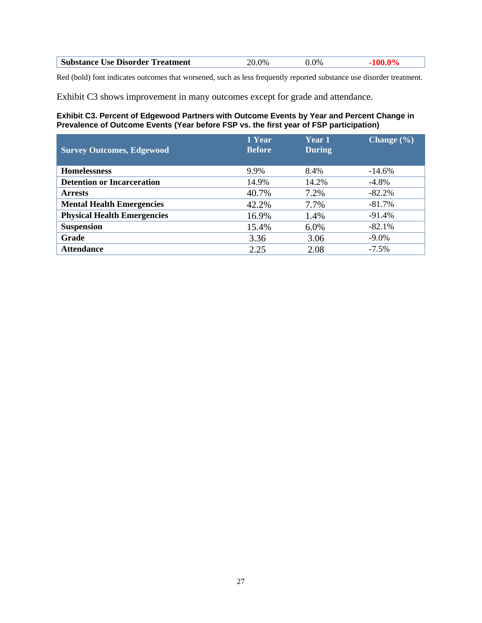| <b>Substance</b><br>--<br>Use Disorder Treatment<br>. | $\gamma_{\%}$<br>,, | $0\%$ |  |
|-------------------------------------------------------|---------------------|-------|--|
|                                                       |                     |       |  |

Red (bold) font indicates outcomes that worsened, such as less frequently reported substance use disorder treatment.

Exhibit C3 shows improvement in many outcomes except for grade and attendance.

#### **Exhibit C3. Percent of Edgewood Partners with Outcome Events by Year and Percent Change in Prevalence of Outcome Events (Year before FSP vs. the first year of FSP participation)**

| <b>Survey Outcomes, Edgewood</b>   | 1 Year<br><b>Before</b> | <b>Year 1</b><br><b>During</b> | Change $(\% )$ |
|------------------------------------|-------------------------|--------------------------------|----------------|
| <b>Homelessness</b>                | 9.9%                    | 8.4%                           | $-14.6\%$      |
| <b>Detention or Incarceration</b>  | 14.9%                   | 14.2%                          | $-4.8\%$       |
| <b>Arrests</b>                     | 40.7%                   | 7.2%                           | $-82.2%$       |
| <b>Mental Health Emergencies</b>   | 42.2%                   | 7.7%                           | $-81.7\%$      |
| <b>Physical Health Emergencies</b> | 16.9%                   | 1.4%                           | $-91.4%$       |
| <b>Suspension</b>                  | 15.4%                   | 6.0%                           | $-82.1%$       |
| Grade                              | 3.36                    | 3.06                           | $-9.0\%$       |
| <b>Attendance</b>                  | 2.25                    | 2.08                           | $-7.5\%$       |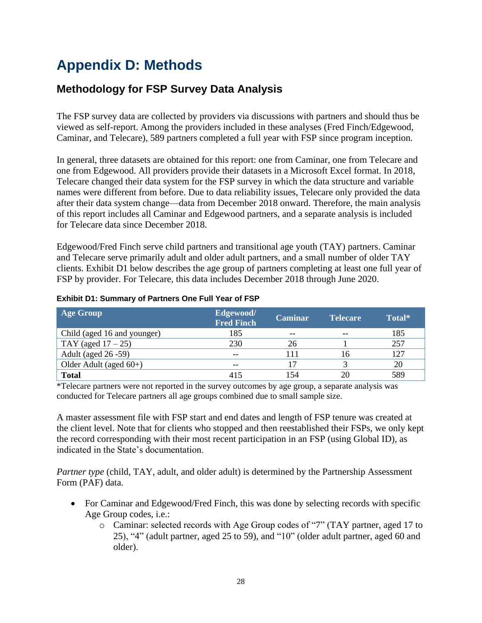## <span id="page-30-0"></span>**Appendix D: Methods**

## <span id="page-30-1"></span>**Methodology for FSP Survey Data Analysis**

The FSP survey data are collected by providers via discussions with partners and should thus be viewed as self-report. Among the providers included in these analyses (Fred Finch/Edgewood, Caminar, and Telecare), 589 partners completed a full year with FSP since program inception.

In general, three datasets are obtained for this report: one from Caminar, one from Telecare and one from Edgewood. All providers provide their datasets in a Microsoft Excel format. In 2018, Telecare changed their data system for the FSP survey in which the data structure and variable names were different from before. Due to data reliability issues, Telecare only provided the data after their data system change—data from December 2018 onward. Therefore, the main analysis of this report includes all Caminar and Edgewood partners, and a separate analysis is included for Telecare data since December 2018.

Edgewood/Fred Finch serve child partners and transitional age youth (TAY) partners. Caminar and Telecare serve primarily adult and older adult partners, and a small number of older TAY clients. Exhibit D1 below describes the age group of partners completing at least one full year of FSP by provider. For Telecare, this data includes December 2018 through June 2020.

| <b>Age Group</b>            | Edgewood/<br><b>Fred Finch</b> | <b>Caminar</b> | <b>Telecare</b> | Total* |
|-----------------------------|--------------------------------|----------------|-----------------|--------|
| Child (aged 16 and younger) | 185                            | $- -$          | $- -$           | 185    |
| TAY (aged $17-25$ )         | 230                            | 26             |                 | 257    |
| Adult (aged 26 -59)         | --                             | 1 1            |                 | 127    |
| Older Adult (aged $60+$ )   | $- -$                          |                |                 | 20     |
| <b>Total</b>                | 415                            | 154            | 20              | 589    |

#### **Exhibit D1: Summary of Partners One Full Year of FSP**

\*Telecare partners were not reported in the survey outcomes by age group, a separate analysis was conducted for Telecare partners all age groups combined due to small sample size.

A master assessment file with FSP start and end dates and length of FSP tenure was created at the client level. Note that for clients who stopped and then reestablished their FSPs, we only kept the record corresponding with their most recent participation in an FSP (using Global ID), as indicated in the State's documentation.

*Partner type* (child, TAY, adult, and older adult) is determined by the Partnership Assessment Form (PAF) data.

- For Caminar and Edgewood/Fred Finch, this was done by selecting records with specific Age Group codes, i.e.:
	- o Caminar: selected records with Age Group codes of "7" (TAY partner, aged 17 to 25), "4" (adult partner, aged 25 to 59), and "10" (older adult partner, aged 60 and older).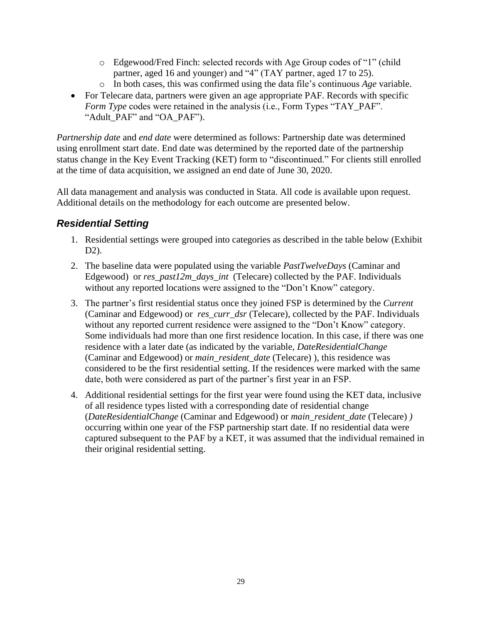- o Edgewood/Fred Finch: selected records with Age Group codes of "1" (child partner, aged 16 and younger) and "4" (TAY partner, aged 17 to 25).
- o In both cases, this was confirmed using the data file's continuous *Age* variable.
- For Telecare data, partners were given an age appropriate PAF. Records with specific *Form Type* codes were retained in the analysis (i.e., Form Types "TAY\_PAF". "Adult\_PAF" and "OA\_PAF").

*Partnership date* and *end date* were determined as follows: Partnership date was determined using enrollment start date. End date was determined by the reported date of the partnership status change in the Key Event Tracking (KET) form to "discontinued." For clients still enrolled at the time of data acquisition, we assigned an end date of June 30, 2020.

All data management and analysis was conducted in Stata. All code is available upon request. Additional details on the methodology for each outcome are presented below.

### *Residential Setting*

- 1. Residential settings were grouped into categories as described in the table below (Exhibit D2).
- 2. The baseline data were populated using the variable *PastTwelveDays* (Caminar and Edgewood) or *res\_past12m\_days\_int* (Telecare) collected by the PAF. Individuals without any reported locations were assigned to the "Don't Know" category.
- 3. The partner's first residential status once they joined FSP is determined by the *Current* (Caminar and Edgewood) or *res\_curr\_dsr* (Telecare), collected by the PAF. Individuals without any reported current residence were assigned to the "Don't Know" category. Some individuals had more than one first residence location. In this case, if there was one residence with a later date (as indicated by the variable, *DateResidentialChange* (Caminar and Edgewood) or *main\_resident\_date* (Telecare) ), this residence was considered to be the first residential setting. If the residences were marked with the same date, both were considered as part of the partner's first year in an FSP.
- 4. Additional residential settings for the first year were found using the KET data, inclusive of all residence types listed with a corresponding date of residential change (*DateResidentialChange* (Caminar and Edgewood) or *main\_resident\_date* (Telecare) *)* occurring within one year of the FSP partnership start date. If no residential data were captured subsequent to the PAF by a KET, it was assumed that the individual remained in their original residential setting.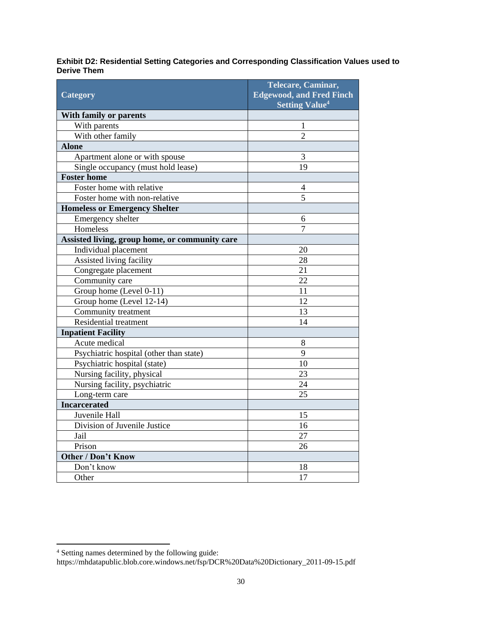#### **Exhibit D2: Residential Setting Categories and Corresponding Classification Values used to Derive Them**

| <b>Category</b>                                | Telecare, Caminar,<br><b>Edgewood, and Fred Finch</b><br><b>Setting Value<sup>4</sup></b> |  |
|------------------------------------------------|-------------------------------------------------------------------------------------------|--|
| <b>With family or parents</b>                  |                                                                                           |  |
| With parents                                   | 1                                                                                         |  |
| With other family                              | $\overline{2}$                                                                            |  |
| <b>Alone</b>                                   |                                                                                           |  |
| Apartment alone or with spouse                 | 3                                                                                         |  |
| Single occupancy (must hold lease)             | 19                                                                                        |  |
| <b>Foster home</b>                             |                                                                                           |  |
| Foster home with relative                      | 4                                                                                         |  |
| Foster home with non-relative                  | $\overline{5}$                                                                            |  |
| <b>Homeless or Emergency Shelter</b>           |                                                                                           |  |
| Emergency shelter                              | 6                                                                                         |  |
| Homeless                                       | $\overline{7}$                                                                            |  |
| Assisted living, group home, or community care |                                                                                           |  |
| Individual placement                           | 20                                                                                        |  |
| Assisted living facility                       | 28                                                                                        |  |
| Congregate placement                           | 21                                                                                        |  |
| Community care                                 | 22                                                                                        |  |
| Group home (Level 0-11)                        | 11                                                                                        |  |
| Group home (Level 12-14)                       | 12                                                                                        |  |
| Community treatment                            | 13                                                                                        |  |
| Residential treatment                          | 14                                                                                        |  |
| <b>Inpatient Facility</b>                      |                                                                                           |  |
| Acute medical                                  | 8                                                                                         |  |
| Psychiatric hospital (other than state)        | 9                                                                                         |  |
| Psychiatric hospital (state)                   | 10                                                                                        |  |
| Nursing facility, physical                     | 23                                                                                        |  |
| Nursing facility, psychiatric                  | 24                                                                                        |  |
| Long-term care                                 | 25                                                                                        |  |
| <b>Incarcerated</b>                            |                                                                                           |  |
| Juvenile Hall                                  | 15                                                                                        |  |
| Division of Juvenile Justice                   | 16                                                                                        |  |
| Jail                                           | 27                                                                                        |  |
| Prison                                         | 26                                                                                        |  |
| <b>Other / Don't Know</b>                      |                                                                                           |  |
| Don't know                                     | 18                                                                                        |  |
| Other                                          | 17                                                                                        |  |

 $\overline{a}$ 

<sup>&</sup>lt;sup>4</sup> Setting names determined by the following guide:

https://mhdatapublic.blob.core.windows.net/fsp/DCR%20Data%20Dictionary\_2011-09-15.pdf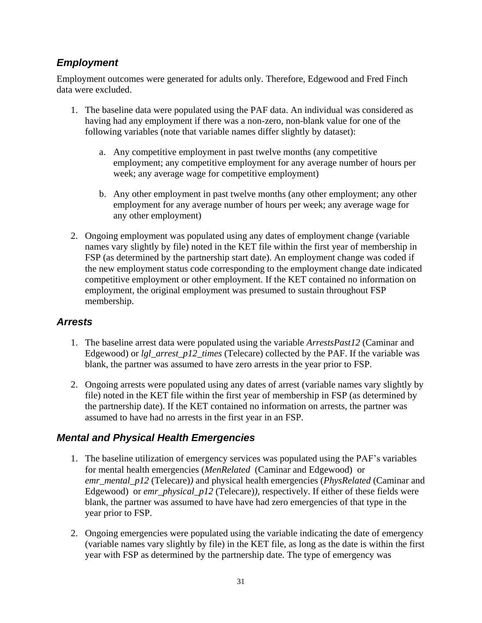### *Employment*

Employment outcomes were generated for adults only. Therefore, Edgewood and Fred Finch data were excluded.

- 1. The baseline data were populated using the PAF data. An individual was considered as having had any employment if there was a non-zero, non-blank value for one of the following variables (note that variable names differ slightly by dataset):
	- a. Any competitive employment in past twelve months (any competitive employment; any competitive employment for any average number of hours per week; any average wage for competitive employment)
	- b. Any other employment in past twelve months (any other employment; any other employment for any average number of hours per week; any average wage for any other employment)
- 2. Ongoing employment was populated using any dates of employment change (variable names vary slightly by file) noted in the KET file within the first year of membership in FSP (as determined by the partnership start date). An employment change was coded if the new employment status code corresponding to the employment change date indicated competitive employment or other employment. If the KET contained no information on employment, the original employment was presumed to sustain throughout FSP membership.

### *Arrests*

- 1. The baseline arrest data were populated using the variable *ArrestsPast12* (Caminar and Edgewood) or *lgl\_arrest\_p12\_times* (Telecare) collected by the PAF. If the variable was blank, the partner was assumed to have zero arrests in the year prior to FSP.
- 2. Ongoing arrests were populated using any dates of arrest (variable names vary slightly by file) noted in the KET file within the first year of membership in FSP (as determined by the partnership date). If the KET contained no information on arrests, the partner was assumed to have had no arrests in the first year in an FSP.

## *Mental and Physical Health Emergencies*

- 1. The baseline utilization of emergency services was populated using the PAF's variables for mental health emergencies (*MenRelated* (Caminar and Edgewood) or *emr\_mental\_p12* (Telecare)*)* and physical health emergencies (*PhysRelated* (Caminar and Edgewood) or *emr\_physical\_p12* (Telecare)), respectively. If either of these fields were blank, the partner was assumed to have have had zero emergencies of that type in the year prior to FSP.
- 2. Ongoing emergencies were populated using the variable indicating the date of emergency (variable names vary slightly by file) in the KET file, as long as the date is within the first year with FSP as determined by the partnership date. The type of emergency was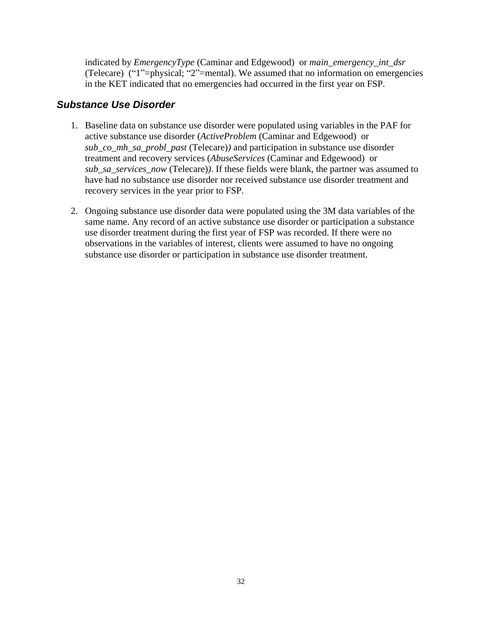indicated by *EmergencyType* (Caminar and Edgewood) or *main\_emergency\_int\_dsr*  (Telecare) ("1"=physical; "2"=mental). We assumed that no information on emergencies in the KET indicated that no emergencies had occurred in the first year on FSP.

#### *Substance Use Disorder*

- 1. Baseline data on substance use disorder were populated using variables in the PAF for active substance use disorder (*ActiveProblem* (Caminar and Edgewood) or *sub\_co\_mh\_sa\_probl\_past* (Telecare)*)* and participation in substance use disorder treatment and recovery services (*AbuseServices* (Caminar and Edgewood) or *sub\_sa\_services\_now* (Telecare)*)*. If these fields were blank, the partner was assumed to have had no substance use disorder nor received substance use disorder treatment and recovery services in the year prior to FSP.
- 2. Ongoing substance use disorder data were populated using the 3M data variables of the same name. Any record of an active substance use disorder or participation a substance use disorder treatment during the first year of FSP was recorded. If there were no observations in the variables of interest, clients were assumed to have no ongoing substance use disorder or participation in substance use disorder treatment.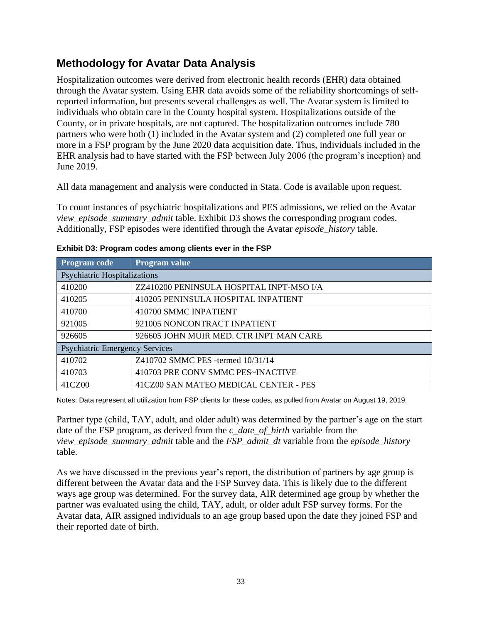## <span id="page-35-0"></span>**Methodology for Avatar Data Analysis**

Hospitalization outcomes were derived from electronic health records (EHR) data obtained through the Avatar system. Using EHR data avoids some of the reliability shortcomings of selfreported information, but presents several challenges as well. The Avatar system is limited to individuals who obtain care in the County hospital system. Hospitalizations outside of the County, or in private hospitals, are not captured. The hospitalization outcomes include 780 partners who were both (1) included in the Avatar system and (2) completed one full year or more in a FSP program by the June 2020 data acquisition date. Thus, individuals included in the EHR analysis had to have started with the FSP between July 2006 (the program's inception) and June 2019.

All data management and analysis were conducted in Stata. Code is available upon request.

To count instances of psychiatric hospitalizations and PES admissions, we relied on the Avatar *view\_episode\_summary\_admit* table. Exhibit D3 shows the corresponding program codes. Additionally, FSP episodes were identified through the Avatar *episode\_history* table.

| <b>Program code</b>                   | Program value                            |
|---------------------------------------|------------------------------------------|
| <b>Psychiatric Hospitalizations</b>   |                                          |
| 410200                                | ZZ410200 PENINSULA HOSPITAL INPT-MSO I/A |
| 410205                                | 410205 PENINSULA HOSPITAL INPATIENT      |
| 410700                                | 410700 SMMC INPATIENT                    |
| 921005                                | 921005 NONCONTRACT INPATIENT             |
| 926605                                | 926605 JOHN MUIR MED. CTR INPT MAN CARE  |
| <b>Psychiatric Emergency Services</b> |                                          |
| 410702                                | Z410702 SMMC PES -termed 10/31/14        |
| 410703                                | 410703 PRE CONV SMMC PES~INACTIVE        |
| 41CZ00                                | 41CZ00 SAN MATEO MEDICAL CENTER - PES    |

**Exhibit D3: Program codes among clients ever in the FSP**

Notes: Data represent all utilization from FSP clients for these codes, as pulled from Avatar on August 19, 2019.

Partner type (child, TAY, adult, and older adult) was determined by the partner's age on the start date of the FSP program, as derived from the *c\_date\_of\_birth* variable from the *view\_episode\_summary\_admit* table and the *FSP\_admit\_dt* variable from the *episode\_history* table.

As we have discussed in the previous year's report, the distribution of partners by age group is different between the Avatar data and the FSP Survey data. This is likely due to the different ways age group was determined. For the survey data, AIR determined age group by whether the partner was evaluated using the child, TAY, adult, or older adult FSP survey forms. For the Avatar data, AIR assigned individuals to an age group based upon the date they joined FSP and their reported date of birth.